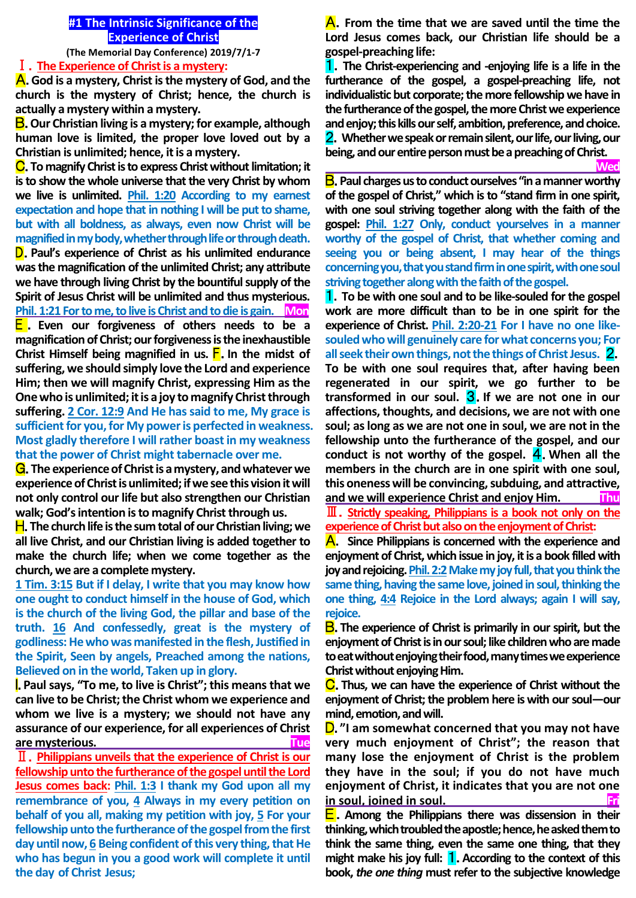### **#1 The Intrinsic Significance of the Experience of Christ**

**(The Memorial Day Conference) 2019/7/1-7**

# Ⅰ.**The Experience of Christ is a mystery:**

A.**God is a mystery, Christ is the mystery of God, and the church is the mystery of Christ; hence, the church is actually a mystery within a mystery.**

B.**Our Christian living is a mystery; for example, although human love is limited, the proper love loved out by a Christian is unlimited; hence, it is a mystery.**

C.**To magnify Christ is to express Christ without limitation; it is to show the whole universe that the very Christ by whom we live is unlimited. Phil. 1:20 According to my earnest expectation and hope that in nothing I will be put to shame, but with all boldness, as always, even now Christ will be magnified in my body, whether through life or through death.** D.**Paul's experience of Christ as his unlimited endurance was the magnification of the unlimited Christ; any attribute we have through living Christ by the bountiful supply of the Spirit of Jesus Christ will be unlimited and thus mysterious. Phil. 1:21 For to me, to live is Christ and to die is gain. Mon** E .**Even our forgiveness of others needs to be a magnification of Christ; our forgiveness is the inexhaustible Christ Himself being magnified in us.** F.**In the midst of suffering, we should simply love the Lord and experience Him; then we will magnify Christ, expressing Him as the One who is unlimited; it is a joy to magnify Christ through suffering. 2 Cor. 12:9 And He has said to me, My grace is sufficient for you, for My power is perfected in weakness.** 

# **Most gladly therefore I will rather boast in my weakness that the power of Christ might tabernacle over me.**

G.**The experience of Christ is a mystery, and whatever we experience of Christ is unlimited; if we see this vision it will not only control our life but also strengthen our Christian walk; God's intention is to magnify Christ through us.**

H.**The church life is the sum total of our Christian living; we all live Christ, and our Christian living is added together to make the church life; when we come together as the church, we are a complete mystery.**

**1 Tim. 3:15 But if I delay, I write that you may know how one ought to conduct himself in the house of God, which is the church of the living God, the pillar and base of the truth. 16 And confessedly, great is the mystery of godliness: He who was manifested in the flesh, Justified in the Spirit, Seen by angels, Preached among the nations, Believed on in the world, Taken up in glory.**

I.**Paul says, "To me, to live is Christ"; this means that we can live to be Christ; the Christ whom we experience and whom we live is a mystery; we should not have any assurance of our experience, for all experiences of Christ are mysterious. Tue**

Ⅱ.**Philippians unveils that the experience of Christ is our fellowship unto the furtherance of the gospel until the Lord Jesus comes back: Phil. 1:3 I thank my God upon all my remembrance of you, 4 Always in my every petition on behalf of you all, making my petition with joy, 5 For your fellowship unto the furtherance of the gospel from the first day until now, 6 Being confident of this very thing, that He who has begun in you a good work will complete it until the day of Christ Jesus;**

A.**From the time that we are saved until the time the Lord Jesus comes back, our Christian life should be a gospel-preaching life:**

1.**The Christ-experiencing and -enjoying life is a life in the furtherance of the gospel, a gospel-preaching life, not individualistic but corporate; the more fellowship we have in the furtherance of the gospel, the more Christ we experience and enjoy; this kills our self, ambition, preference, and choice.**  2.**Whether we speak or remain silent, our life, our living, our being, and our entire person must be a preaching of Christ.**

 *Wed* **Wed** B.**Paul charges us to conduct ourselves "in a manner worthy of the gospel of Christ," which is to "stand firm in one spirit, with one soul striving together along with the faith of the gospel: Phil. 1:27 Only, conduct yourselves in a manner worthy of the gospel of Christ, that whether coming and seeing you or being absent, I may hear of the things concerning you, that you stand firm in one spirit, with one soul striving together along with the faith of the gospel.**

1.**To be with one soul and to be like-souled for the gospel work are more difficult than to be in one spirit for the experience of Christ. Phil. 2:20-21 For I have no one likesouled who will genuinely care for what concerns you; For all seek their own things, not the things of Christ Jesus.** 2. **To be with one soul requires that, after having been regenerated in our spirit, we go further to be transformed in our soul.** 3.**If we are not one in our affections, thoughts, and decisions, we are not with one soul; as long as we are not one in soul, we are not in the fellowship unto the furtherance of the gospel, and our conduct is not worthy of the gospel.** 4.**When all the members in the church are in one spirit with one soul, this oneness will be convincing, subduing, and attractive, and we will experience Christ and enjoy Him. Thu**

Ⅲ.**Strictly speaking, Philippians is a book not only on the experience of Christ but also on the enjoyment of Christ:** 

A. **Since Philippians is concerned with the experience and enjoyment of Christ, which issue in joy, it is a book filled with joy and rejoicing.Phil. 2:2Make my joy full, that you think the same thing, having the same love, joined in soul, thinking the one thing, 4:4 Rejoice in the Lord always; again I will say, rejoice.** 

B.**The experience of Christ is primarily in our spirit, but the enjoyment of Christ is in our soul; like children who are made to eat without enjoying their food, many times we experience Christ without enjoying Him.** 

C.**Thus, we can have the experience of Christ without the enjoyment of Christ; the problem here is with our soul—our mind, emotion, and will.** 

D.**"I am somewhat concerned that you may not have very much enjoyment of Christ"; the reason that many lose the enjoyment of Christ is the problem they have in the soul; if you do not have much enjoyment of Christ, it indicates that you are not one in soul, joined in soul.** 

E.**Among the Philippians there was dissension in their thinking, which troubled the apostle; hence, he asked them to think the same thing, even the same one thing, that they might make his joy full:** 1.**According to the context of this book,** *the one thing* **must refer to the subjective knowledge**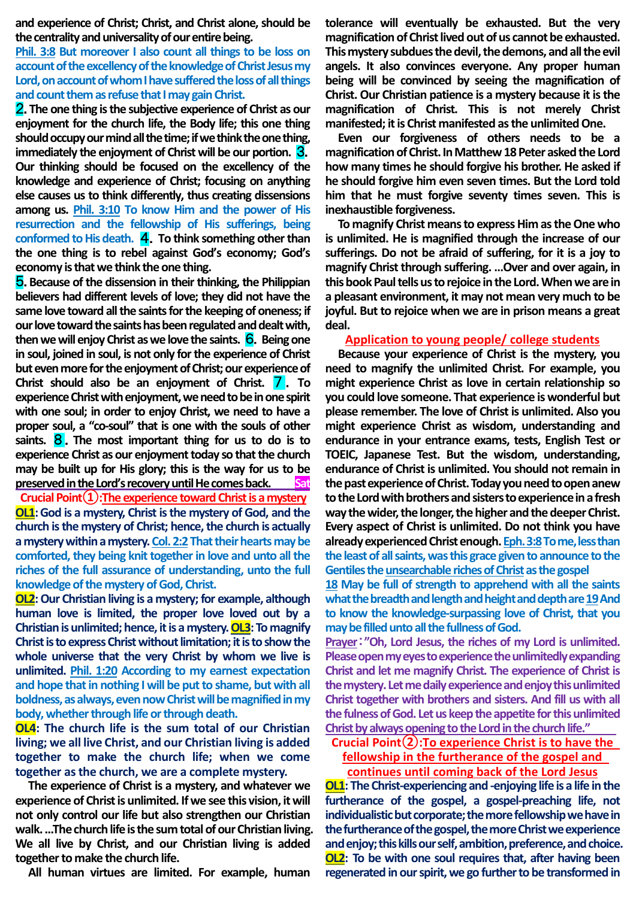**and experience of Christ; Christ, and Christ alone, should be the centrality and universality of our entire being.** 

# **Phil. 3:8 But moreover I also count all things to be loss on account of the excellency of the knowledge ofChrist Jesus my Lord, on account of whom I have suffered the loss of all things and count them as refuse that I may gain Christ.**

2.**The one thing is the subjective experience of Christ as our enjoyment for the church life, the Body life; this one thing should occupy our mind all the time; if we think the one thing, immediately the enjoyment of Christ will be our portion.** 3. **Our thinking should be focused on the excellency of the knowledge and experience of Christ; focusing on anything else causes us to think differently, thus creating dissensions among us. Phil. 3:10 To know Him and the power of His resurrection and the fellowship of His sufferings, being conformed to His death.** 4.**To think something other than the one thing is to rebel against God's economy; God's economy is that we think the one thing.**

5.**Because of the dissension in their thinking, the Philippian believers had different levels of love; they did not have the same love toward all the saints for the keeping of oneness; if our love toward the saints has been regulated and dealt with, then we will enjoy Christ as we love the saints.** 6.**Being one in soul, joined in soul, is not only for the experience of Christ but even more for the enjoyment of Christ; our experience of Christ should also be an enjoyment of Christ.** 7. To **experience Christ with enjoyment, we need to be in one spirit with one soul; in order to enjoy Christ, we need to have a proper soul, a "co-soul" that is one with the souls of other saints.** 8 .**The most important thing for us to do is to experience Christ as our enjoyment today so that the church may be built up for His glory; this is the way for us to be preserved in the Lord's recovery until He comes back.** Sat **Crucial Point①:The experience toward Christ is a mystery OL1:** God is a mystery, Christ is the mystery of God, and the **church is the mystery of Christ; hence, the church is actually** 

**a mystery within a mystery.Col. 2:2That their hearts may be comforted, they being knit together in love and unto all the riches of the full assurance of understanding, unto the full knowledge of the mystery of God, Christ.**

**OL2:** Our Christian living is a mystery; for example, although **human love is limited, the proper love loved out by a Christian is unlimited; hence, it is a mystery. OL3: To magnify Christ is to express Christ without limitation; it is to show the whole universe that the very Christ by whom we live is unlimited. Phil. 1:20 According to my earnest expectation and hope that in nothing I will be put to shame, but with all boldness, as always, even now Christ will be magnified in my body, whether through life or through death.**

**OL4: The church life is the sum total of our Christian living; we all live Christ, and our Christian living is added together to make the church life; when we come together as the church, we are a complete mystery.**

**The experience of Christ is a mystery, and whatever we experience of Christ is unlimited. If we see this vision, it will not only control our life but also strengthen our Christian walk. ...The church life is the sum total of our Christian living. We all live by Christ, and our Christian living is added together to make the church life.**

**All human virtues are limited. For example, human** 

**tolerance will eventually be exhausted. But the very magnification of Christ lived out of us cannot be exhausted. This mystery subdues the devil, the demons, and all the evil angels. It also convinces everyone. Any proper human being will be convinced by seeing the magnification of Christ. Our Christian patience is a mystery because it is the magnification of Christ. This is not merely Christ manifested; it is Christ manifested as the unlimited One.**

**Even our forgiveness of others needs to be a magnification of Christ. In Matthew 18 Peter asked the Lord how many times he should forgive his brother. He asked if he should forgive him even seven times. But the Lord told him that he must forgive seventy times seven. This is inexhaustible forgiveness.**

**To magnify Christ means to express Him as the One who is unlimited. He is magnified through the increase of our sufferings. Do not be afraid of suffering, for it is a joy to magnify Christ through suffering. …Over and over again, in this book Paul tells us to rejoice in the Lord. When we are in a pleasant environment, it may not mean very much to be joyful. But to rejoice when we are in prison means a great deal.**

#### **Application to young people/ college students**

**Because your experience of Christ is the mystery, you need to magnify the unlimited Christ. For example, you might experience Christ as love in certain relationship so you could love someone. That experience is wonderful but please remember. The love of Christ is unlimited. Also you might experience Christ as wisdom, understanding and endurance in your entrance exams, tests, English Test or TOEIC, Japanese Test. But the wisdom, understanding, endurance of Christ is unlimited. You should not remain in the past experience of Christ. Today you need to open anew to the Lord with brothers and sisters to experiencein a fresh way the wider, the longer, the higher and the deeper Christ. Every aspect of Christ is unlimited. Do not think you have already experienced Christ enough.Eph. 3:8To me, less than the least of all saints, was this grace given to announce to the Gentiles the unsearchable riches of Christ as the gospel** 

**18 May be full of strength to apprehend with all the saints what the breadth and length and height and depth are 19And to know the knowledge-surpassing love of Christ, that you may be filled unto all the fullness of God.**

**Prayer**:**"Oh, Lord Jesus, the riches of my Lord is unlimited.**  Please open my eyes to experience the unlimitedly expanding **Christ and let me magnify Christ. The experience of Christ is the mystery. Let me daily experience and enjoy this unlimited Christ together with brothers and sisters. And fill us with all**  the fulness of God. Let us keep the appetite for this unlimited **Christ by always opening to the Lord in the church life."** 

### **Crucial Point②:To experience Christ is to have the fellowship in the furtherance of the gospel and continues until coming back of the Lord Jesus**

**OL1: The Christ-experiencing and -enjoying life is a life in the furtherance of the gospel, a gospel-preaching life, not individualistic but corporate; the more fellowship we have in the furtherance of the gospel, the more Christ we experience and enjoy; this kills our self, ambition, preference, and choice. OL2: To be with one soul requires that, after having been regenerated in our spirit, we go further to be transformed in**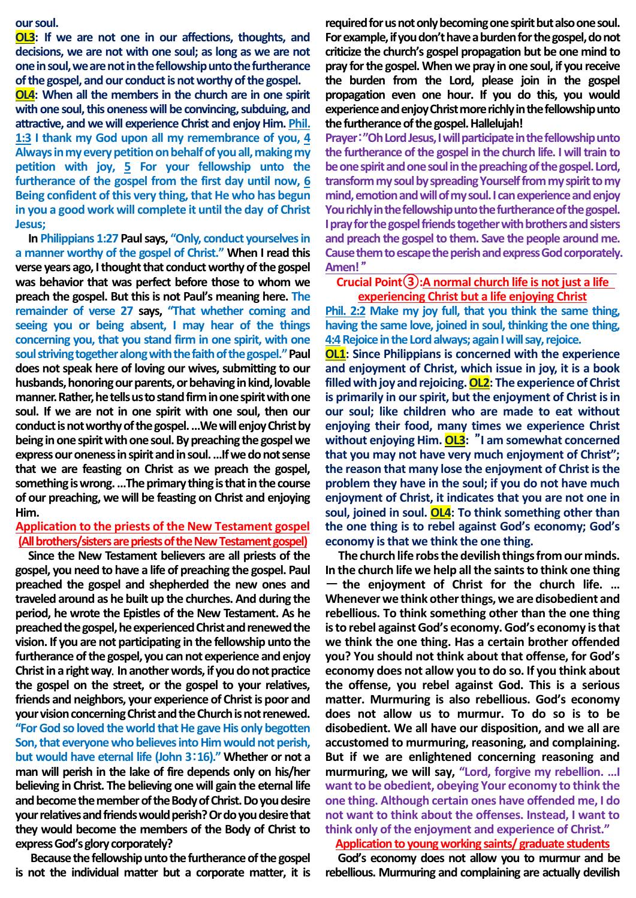#### **our soul.**

**OL3: If we are not one in our affections, thoughts, and decisions, we are not with one soul; as long as we are not one in soul, we are not in the fellowship unto the furtherance of the gospel, and our conduct is not worthy of the gospel.**

**OL4: When all the members in the church are in one spirit with one soul, this oneness will be convincing, subduing, and attractive, and we will experience Christ and enjoy Him. Phil. 1:3 I thank my God upon all my remembrance of you, 4 Always in my every petition on behalf of you all, making my petition with joy, 5 For your fellowship unto the furtherance of the gospel from the first day until now, 6 Being confident of this very thing, that He who has begun in you a good work will complete it until the day of Christ Jesus;**

**In Philippians 1:27 Paul says, "Only, conduct yourselves in a manner worthy of the gospel of Christ." When I read this verse years ago, I thought that conduct worthy of the gospel was behavior that was perfect before those to whom we preach the gospel. But this is not Paul's meaning here. The remainder of verse 27 says, "That whether coming and seeing you or being absent, I may hear of the things concerning you, that you stand firm in one spirit, with one soul striving together along with the faith of the gospel." Paul does not speak here of loving our wives, submitting to our husbands, honoring our parents, or behaving in kind, lovable manner. Rather, he tells us to stand firm in one spirit with one soul. If we are not in one spirit with one soul, then our conduct is not worthy of the gospel. …We will enjoy Christ by being in one spirit with one soul. By preaching the gospel we expressour oneness in spirit and in soul. …If we do not sense that we are feasting on Christ as we preach the gospel, something is wrong. …The primary thing is that in the course of our preaching, we will be feasting on Christ and enjoying Him.**

## **Application to the priests of the New Testament gospel (All brothers/sisters are priests of the New Testament gospel)**

**Since the New Testament believers are all priests of the gospel, you need to have a life of preaching the gospel. Paul preached the gospel and shepherded the new ones and traveled around as he built up the churches. And during the period, he wrote the Epistles of the New Testament. As he preached the gospel, he experienced Christ and renewed the vision. If you are not participating in the fellowship unto the furtherance ofthe gospel, you can not experience and enjoy Christ in a right way**. **In another words, if you do not practice the gospel on the street, or the gospel to your relatives, friends and neighbors, your experience of Christ is poor and your vision concerning Christ and the Church is not renewed. "For God so loved the world that He gave His only begotten Son, that everyone who believes into Him would not perish, but would have eternal life (John 3**:**16)." Whether or not a man will perish in the lake of fire depends only on his/her believing in Christ. The believing one will gain the eternal life and become the member of the Body of Christ. Do you desire your relatives and friends would perish? Or do you desire that they would become the members of the Body of Christ to express God's glory corporately?** 

**Because the fellowship unto the furtherance of the gospel is not the individual matter but a corporate matter, it is**  **required for us not only becoming one spirit but also one soul. For example, if you don't have a burden for the gospel, do not criticize the church's gospel propagation but be one mind to pray for the gospel. When we pray in one soul, if you receive the burden from the Lord, please join in the gospel propagation even one hour. If you do this, you would experience and enjoy Christ more richly in the fellowship unto the furtherance of the gospel. Hallelujah!** 

**Prayer**:**"Oh Lord Jesus, I will participate in the fellowship unto the furtherance of the gospel in the church life. I will train to be one spirit and one soul in the preaching of the gospel. Lord, transform my soul by spreading Yourself from my spirit to my mind, emotion and will of my soul. I can experience and enjoy You richly in the fellowship unto the furtherance of the gospel. I pray for the gospel friends together with brothers and sisters and preach the gospel to them. Save the people around me. Cause them to escape the perish and express God corporately. Amen!** "

## **Crucial Point③:A normal church life is not just a life experiencing Christ but a life enjoying Christ**

**Phil. 2:2 Make my joy full, that you think the same thing, having the same love, joined in soul, thinking the one thing, 4:4Rejoice in the Lord always; again I will say, rejoice.** 

**OL1: Since Philippians is concerned with the experience and enjoyment of Christ, which issue in joy, it is a book filled with joy and rejoicing.OL2: The experience of Christ is primarily in our spirit, but the enjoyment of Christ is in our soul; like children who are made to eat without enjoying their food, many times we experience Christ without enjoying Him. OL3:** "**I am somewhat concerned that you may not have very much enjoyment of Christ"; the reason that many lose the enjoyment of Christ is the problem they have in the soul; if you do not have much enjoyment of Christ, it indicates that you are not one in soul, joined in soul. OL4: To think something other than the one thing is to rebel against God's economy; God's economy is that we think the one thing.**

**The church life robs the devilish things from our minds. In the church life we help all the saints to think one thing** - **the enjoyment of Christ for the church life. … Whenever we think other things, we are disobedient and rebellious. To think something other than the one thing is to rebel against God's economy. God's economy is that we think the one thing. Has a certain brother offended you? You should not think about that offense, for God's economy does not allow you to do so. If you think about the offense, you rebel against God. This is a serious matter. Murmuring is also rebellious. God's economy does not allow us to murmur. To do so is to be disobedient. We all have our disposition, and we all are accustomed to murmuring, reasoning, and complaining. But if we are enlightened concerning reasoning and murmuring, we will say, "Lord, forgive my rebellion. …I want to be obedient, obeying Your economy to think the one thing. Although certain ones have offended me, I do not want to think about the offenses. Instead, I want to think only of the enjoyment and experience of Christ."**

# **Application to young working saints/ graduate students**

**God's economy does not allow you to murmur and be rebellious. Murmuring and complaining are actually devilish**